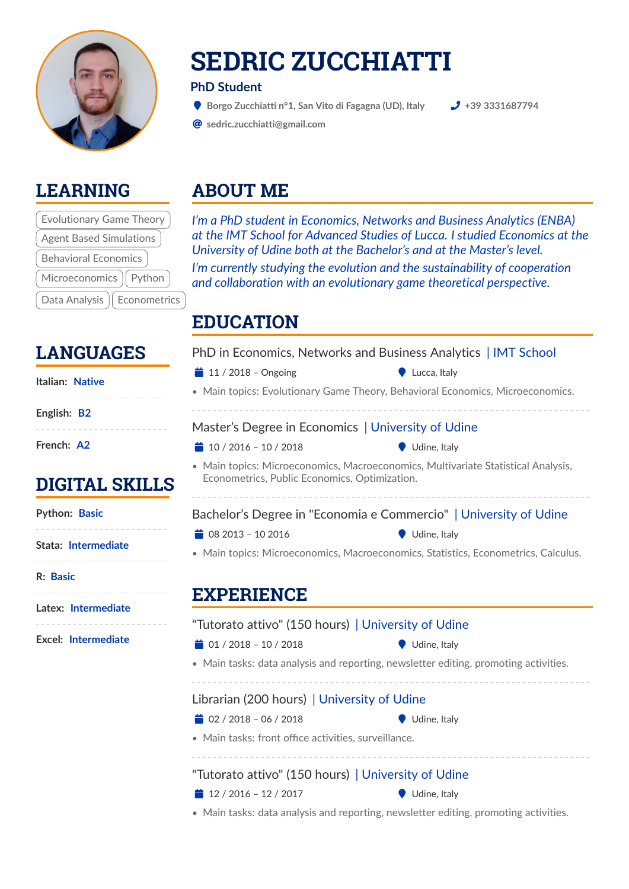

## **SEDRIC ZUCCHIATTI**

#### **PhD Student**

( **Borgo Zucchiatti n°1, San Vito di Fagagna (UD), Italy +39 3331687794**

@ **[sedric.zucchiatti@gmail.com](mailto:sedric.zucchiatti@gmail.com)**

#### **LEARNING**

| <b>Evolutionary Game Theory</b> |
|---------------------------------|
| <b>Agent Based Simulations</b>  |
| <b>Behavioral Economics</b>     |
| Microeconomics   Python         |
| Data Analysis<br>Econometrics   |

## **ABOUT ME**

*I'm a PhD student in Economics, Networks and Business Analytics (ENBA) at the IMT School for Advanced Studies of Lucca. I studied Economics at the University of Udine both at the Bachelor's and at the Master's level. I'm currently studying the evolution and the sustainability of cooperation and collaboration with an evolutionary game theoretical perspective.*

### **EDUCATION**

| $\frac{1}{2}$ 11 / 2018 - Ongoing                   | Lucca, Italy                                                                                       |
|-----------------------------------------------------|----------------------------------------------------------------------------------------------------|
|                                                     | • Main topics: Evolutionary Game Theory, Behavioral Economics, Microeconomics.                     |
| Master's Degree in Economics   University of Udine  |                                                                                                    |
| $10/2016 - 10/2018$                                 | Udine, Italy                                                                                       |
| Econometrics, Public Economics, Optimization.       | • Main topics: Microeconomics, Macroeconomics, Multivariate Statistical Analysis,                  |
|                                                     |                                                                                                    |
|                                                     | Bachelor's Degree in "Economia e Commercio"   University of Udine                                  |
| $\frac{1}{2}$ 08 2013 - 10 2016                     | Udine, Italy                                                                                       |
| <b>EXPERIENCE</b>                                   |                                                                                                    |
| "Tutorato attivo" (150 hours)   University of Udine |                                                                                                    |
| $\frac{1}{2}$ 01 / 2018 - 10 / 2018                 | • Main topics: Microeconomics, Macroeconomics, Statistics, Econometrics, Calculus.<br>Udine, Italy |
|                                                     | • Main tasks: data analysis and reporting, newsletter editing, promoting activities.               |
| Librarian (200 hours)   University of Udine         |                                                                                                    |
| $\frac{1}{2}$ 02 / 2018 - 06 / 2018                 | Udine, Italy                                                                                       |

• Main tasks: data analysis and reporting, newsletter editing, promoting activities.

#### **LANGUAGES**

# **English: B2**

**Italian: Native**

**French: A2**

### **DIGITAL SKII**

**Python: Basic**

- 
- **Stata: Intermediate**

**R: Basic**

**Latex: Intermediate**

**Excel: Intermediate**